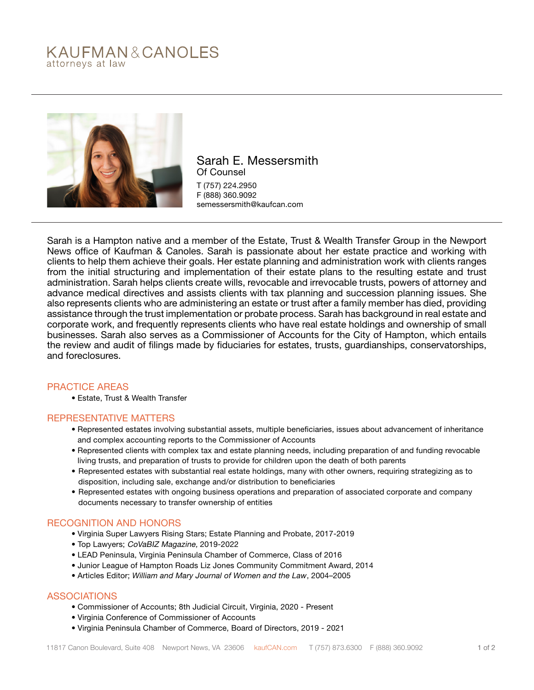# KAUFMAN&CANOLES attorneys at law



Sarah E. Messersmith Of Counsel T (757) 224.2950 F (888) 360.9092 semessersmith@kaufcan.com

Sarah is a Hampton native and a member of the Estate, Trust & Wealth Transfer Group in the Newport News office of Kaufman & Canoles. Sarah is passionate about her estate practice and working with clients to help them achieve their goals. Her estate planning and administration work with clients ranges from the initial structuring and implementation of their estate plans to the resulting estate and trust administration. Sarah helps clients create wills, revocable and irrevocable trusts, powers of attorney and advance medical directives and assists clients with tax planning and succession planning issues. She also represents clients who are administering an estate or trust after a family member has died, providing assistance through the trust implementation or probate process. Sarah has background in real estate and corporate work, and frequently represents clients who have real estate holdings and ownership of small businesses. Sarah also serves as a Commissioner of Accounts for the City of Hampton, which entails the review and audit of filings made by fiduciaries for estates, trusts, guardianships, conservatorships, and foreclosures.

## PRACTICE AREAS

• Estate, Trust & Wealth Transfer

#### REPRESENTATIVE MATTERS

- Represented estates involving substantial assets, multiple beneficiaries, issues about advancement of inheritance and complex accounting reports to the Commissioner of Accounts
- Represented clients with complex tax and estate planning needs, including preparation of and funding revocable living trusts, and preparation of trusts to provide for children upon the death of both parents
- Represented estates with substantial real estate holdings, many with other owners, requiring strategizing as to disposition, including sale, exchange and/or distribution to beneficiaries
- Represented estates with ongoing business operations and preparation of associated corporate and company documents necessary to transfer ownership of entities

## RECOGNITION AND HONORS

- Virginia Super Lawyers Rising Stars; Estate Planning and Probate, 2017-2019
- Top Lawyers; CoVaBIZ Magazine, 2019-2022
- LEAD Peninsula, Virginia Peninsula Chamber of Commerce, Class of 2016
- Junior League of Hampton Roads Liz Jones Community Commitment Award, 2014
- Articles Editor; *William and Mary Journal of Women and the Law*, 2004–2005

## ASSOCIATIONS

- Commissioner of Accounts; 8th Judicial Circuit, Virginia, 2020 Present
- Virginia Conference of Commissioner of Accounts
- Virginia Peninsula Chamber of Commerce, Board of Directors, 2019 2021